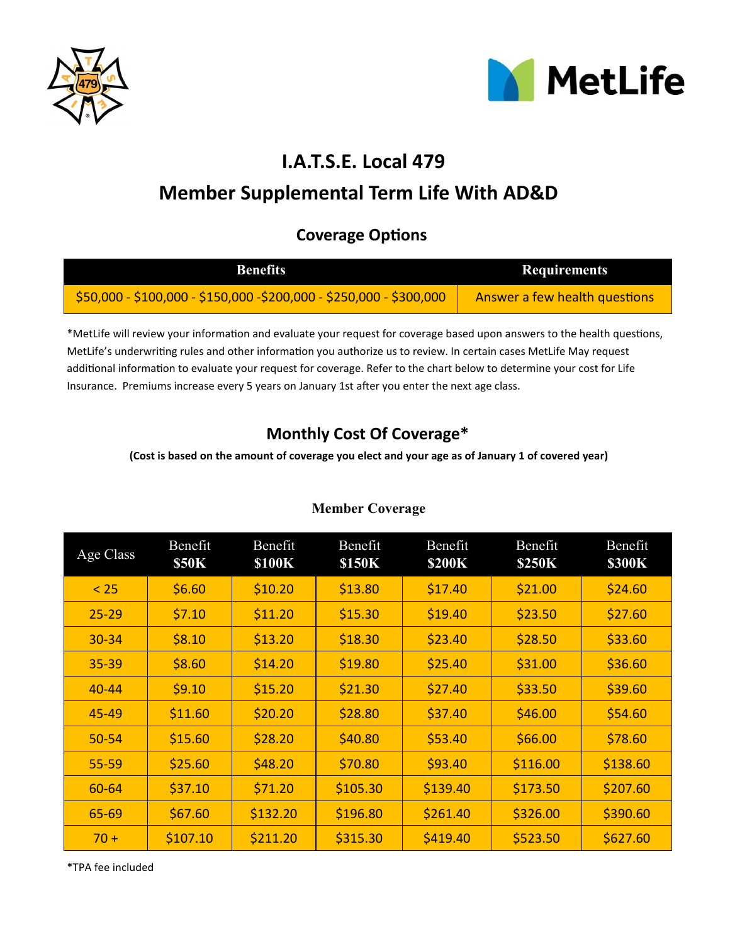



# **I.A.T.S.E. Local 479**

# **Member Supplemental Term Life With AD&D**

## **Coverage Options**

| <b>Benefits</b>                                                     | <b>Requirements</b>           |
|---------------------------------------------------------------------|-------------------------------|
| \$50,000 - \$100,000 - \$150,000 -\$200,000 - \$250,000 - \$300,000 | Answer a few health questions |

\*MetLife will review your information and evaluate your request for coverage based upon answers to the health questions, MetLife's underwriting rules and other information you authorize us to review. In certain cases MetLife May request additional information to evaluate your request for coverage. Refer to the chart below to determine your cost for Life Insurance. Premiums increase every 5 years on January 1st after you enter the next age class.

## **Monthly Cost Of Coverage\***

**(Cost is based on the amount of coverage you elect and your age as of January 1 of covered year)**

| Age Class | Benefit<br><b>\$50K</b> | Benefit<br><b>\$100K</b> | Benefit<br><b>\$150K</b> | Benefit<br><b>\$200K</b> | Benefit<br><b>\$250K</b> | Benefit<br><b>\$300K</b> |
|-----------|-------------------------|--------------------------|--------------------------|--------------------------|--------------------------|--------------------------|
| < 25      | \$6.60                  | \$10.20                  | \$13.80                  | \$17.40                  | \$21.00                  | \$24.60                  |
| $25 - 29$ | \$7.10                  | \$11.20                  | \$15.30                  | \$19.40                  | \$23.50                  | \$27.60                  |
| 30-34     | \$8.10                  | \$13.20                  | \$18.30                  | \$23.40                  | \$28.50                  | \$33.60                  |
| $35 - 39$ | \$8.60                  | \$14.20                  | \$19.80                  | \$25.40                  | \$31.00                  | \$36.60                  |
| $40 - 44$ | \$9.10                  | \$15.20                  | \$21.30                  | \$27.40                  | \$33.50                  | \$39.60                  |
| 45-49     | \$11.60                 | \$20.20                  | \$28.80                  | \$37.40                  | \$46.00                  | \$54.60                  |
| $50 - 54$ | \$15.60                 | \$28.20                  | \$40.80                  | \$53.40                  | \$66.00                  | \$78.60                  |
| 55-59     | \$25.60                 | \$48.20                  | \$70.80                  | \$93.40                  | \$116.00                 | \$138.60                 |
| 60-64     | \$37.10                 | \$71.20                  | \$105.30                 | \$139.40                 | \$173.50                 | \$207.60                 |
| 65-69     | \$67.60                 | \$132.20                 | \$196.80                 | \$261.40                 | \$326.00                 | \$390.60                 |
| $70 +$    | \$107.10                | \$211.20                 | \$315.30                 | \$419.40                 | \$523.50                 | \$627.60                 |

### **Member Coverage**

\*TPA fee included